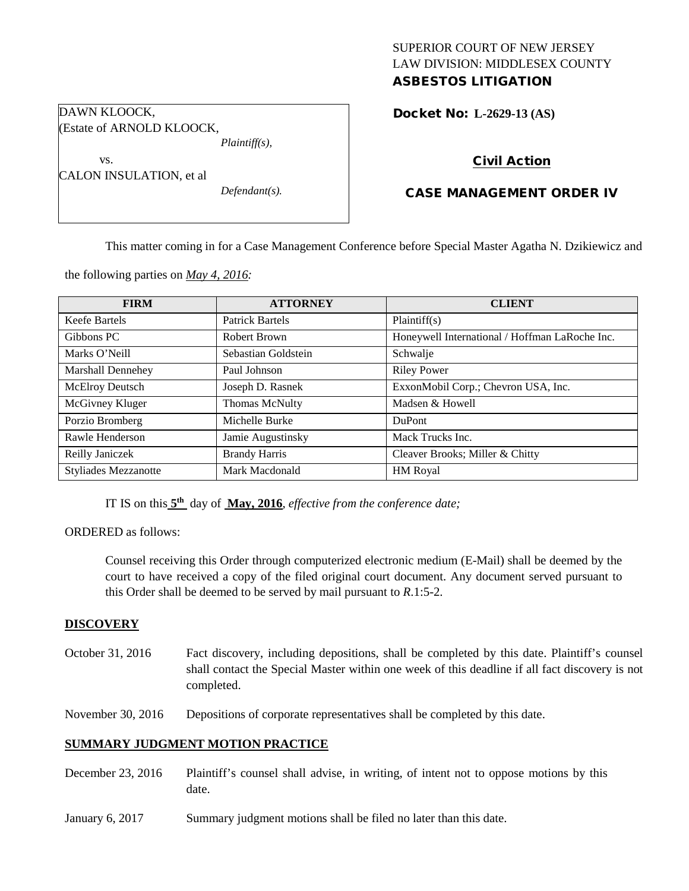# SUPERIOR COURT OF NEW JERSEY LAW DIVISION: MIDDLESEX COUNTY ASBESTOS LITIGATION

Docket No: **L-2629-13 (AS)** 

# Civil Action

# CASE MANAGEMENT ORDER IV

This matter coming in for a Case Management Conference before Special Master Agatha N. Dzikiewicz and

the following parties on *May 4, 2016:*

DAWN KLOOCK,

vs.

(Estate of ARNOLD KLOOCK,

CALON INSULATION, et al

*Plaintiff(s),*

*Defendant(s).*

| <b>FIRM</b>                 | <b>ATTORNEY</b>        | <b>CLIENT</b>                                  |
|-----------------------------|------------------------|------------------------------------------------|
| Keefe Bartels               | <b>Patrick Bartels</b> | Plaintiff(s)                                   |
| Gibbons PC                  | Robert Brown           | Honeywell International / Hoffman LaRoche Inc. |
| Marks O'Neill               | Sebastian Goldstein    | Schwalje                                       |
| Marshall Dennehey           | Paul Johnson           | <b>Riley Power</b>                             |
| <b>McElroy Deutsch</b>      | Joseph D. Rasnek       | ExxonMobil Corp.; Chevron USA, Inc.            |
| McGivney Kluger             | Thomas McNulty         | Madsen & Howell                                |
| Porzio Bromberg             | Michelle Burke         | <b>DuPont</b>                                  |
| Rawle Henderson             | Jamie Augustinsky      | Mack Trucks Inc.                               |
| Reilly Janiczek             | <b>Brandy Harris</b>   | Cleaver Brooks; Miller & Chitty                |
| <b>Styliades Mezzanotte</b> | Mark Macdonald         | <b>HM</b> Royal                                |

IT IS on this **5th** day of **May, 2016**, *effective from the conference date;*

ORDERED as follows:

Counsel receiving this Order through computerized electronic medium (E-Mail) shall be deemed by the court to have received a copy of the filed original court document. Any document served pursuant to this Order shall be deemed to be served by mail pursuant to *R*.1:5-2.

#### **DISCOVERY**

October 31, 2016 Fact discovery, including depositions, shall be completed by this date. Plaintiff's counsel shall contact the Special Master within one week of this deadline if all fact discovery is not completed.

November 30, 2016 Depositions of corporate representatives shall be completed by this date.

#### **SUMMARY JUDGMENT MOTION PRACTICE**

- December 23, 2016 Plaintiff's counsel shall advise, in writing, of intent not to oppose motions by this date.
- January 6, 2017 Summary judgment motions shall be filed no later than this date.